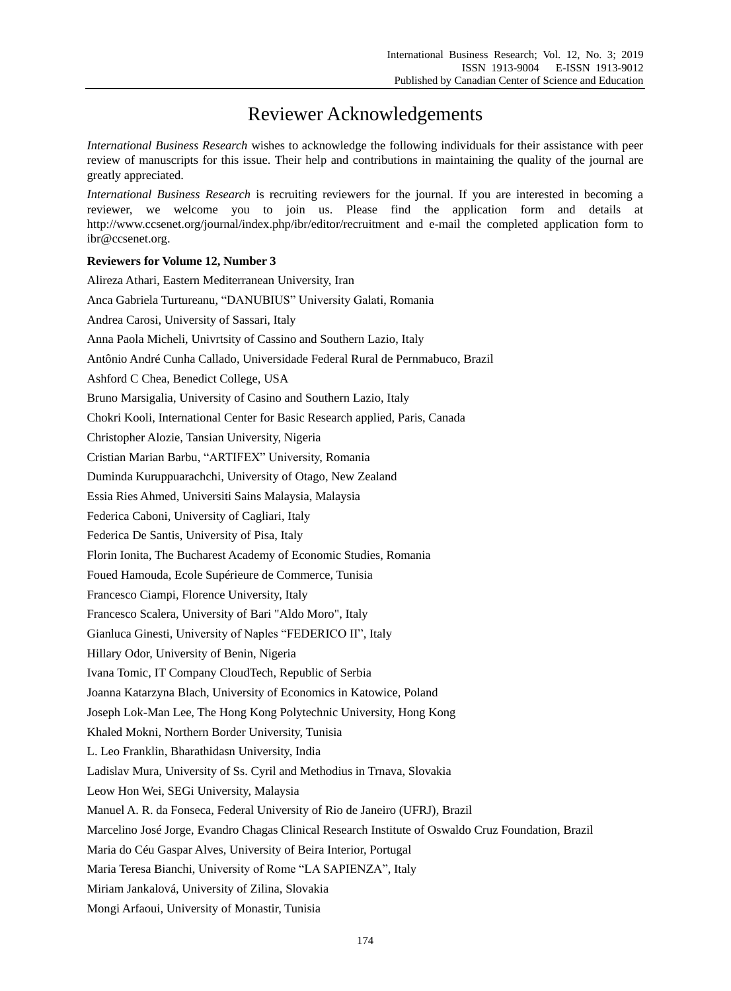## Reviewer Acknowledgements

*International Business Research* wishes to acknowledge the following individuals for their assistance with peer review of manuscripts for this issue. Their help and contributions in maintaining the quality of the journal are greatly appreciated.

*International Business Research* is recruiting reviewers for the journal. If you are interested in becoming a reviewer, we welcome you to join us. Please find the application form and details at http://www.ccsenet.org/journal/index.php/ibr/editor/recruitment and e-mail the completed application form to ibr@ccsenet.org.

## **Reviewers for Volume 12, Number 3**

Alireza Athari, Eastern Mediterranean University, Iran Anca Gabriela Turtureanu, "DANUBIUS" University Galati, Romania Andrea Carosi, University of Sassari, Italy Anna Paola Micheli, Univrtsity of Cassino and Southern Lazio, Italy Antônio André Cunha Callado, Universidade Federal Rural de Pernmabuco, Brazil Ashford C Chea, Benedict College, USA Bruno Marsigalia, University of Casino and Southern Lazio, Italy Chokri Kooli, International Center for Basic Research applied, Paris, Canada Christopher Alozie, Tansian University, Nigeria Cristian Marian Barbu, "ARTIFEX" University, Romania Duminda Kuruppuarachchi, University of Otago, New Zealand Essia Ries Ahmed, Universiti Sains Malaysia, Malaysia Federica Caboni, University of Cagliari, Italy Federica De Santis, University of Pisa, Italy Florin Ionita, The Bucharest Academy of Economic Studies, Romania Foued Hamouda, Ecole Supérieure de Commerce, Tunisia Francesco Ciampi, Florence University, Italy Francesco Scalera, University of Bari "Aldo Moro", Italy Gianluca Ginesti, University of Naples "FEDERICO II", Italy Hillary Odor, University of Benin, Nigeria Ivana Tomic, IT Company CloudTech, Republic of Serbia Joanna Katarzyna Blach, University of Economics in Katowice, Poland Joseph Lok-Man Lee, The Hong Kong Polytechnic University, Hong Kong Khaled Mokni, Northern Border University, Tunisia L. Leo Franklin, Bharathidasn University, India Ladislav Mura, University of Ss. Cyril and Methodius in Trnava, Slovakia Leow Hon Wei, SEGi University, Malaysia Manuel A. R. da Fonseca, Federal University of Rio de Janeiro (UFRJ), Brazil Marcelino José Jorge, Evandro Chagas Clinical Research Institute of Oswaldo Cruz Foundation, Brazil Maria do Céu Gaspar Alves, University of Beira Interior, Portugal Maria Teresa Bianchi, University of Rome "LA SAPIENZA", Italy Miriam Jankalová, University of Zilina, Slovakia Mongi Arfaoui, University of Monastir, Tunisia